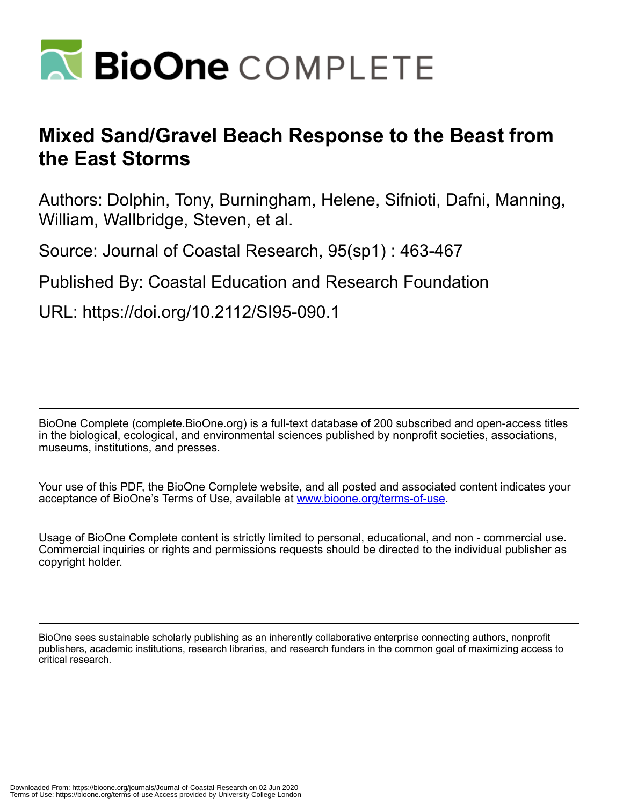

# **Mixed Sand/Gravel Beach Response to the Beast from the East Storms**

Authors: Dolphin, Tony, Burningham, Helene, Sifnioti, Dafni, Manning, William, Wallbridge, Steven, et al.

Source: Journal of Coastal Research, 95(sp1) : 463-467

# Published By: Coastal Education and Research Foundation

URL: https://doi.org/10.2112/SI95-090.1

BioOne Complete (complete.BioOne.org) is a full-text database of 200 subscribed and open-access titles in the biological, ecological, and environmental sciences published by nonprofit societies, associations, museums, institutions, and presses.

Your use of this PDF, the BioOne Complete website, and all posted and associated content indicates your acceptance of BioOne's Terms of Use, available at www.bioone.org/terms-of-use.

Usage of BioOne Complete content is strictly limited to personal, educational, and non - commercial use. Commercial inquiries or rights and permissions requests should be directed to the individual publisher as copyright holder.

BioOne sees sustainable scholarly publishing as an inherently collaborative enterprise connecting authors, nonprofit publishers, academic institutions, research libraries, and research funders in the common goal of maximizing access to critical research.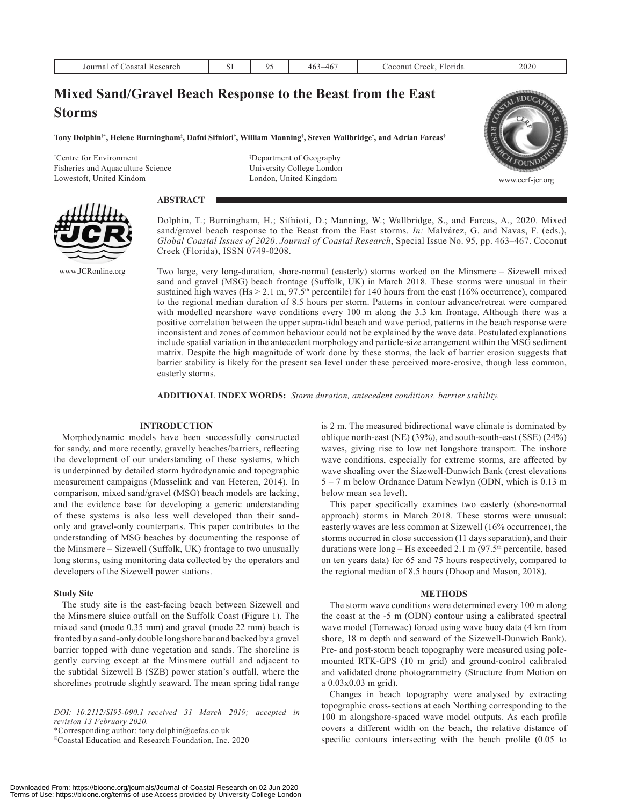| Journal of Coastal Research                                 |  | 95 | $463 - 467$ | Coconut Creek, Florida | 2020 |
|-------------------------------------------------------------|--|----|-------------|------------------------|------|
| Mixed Sand/Gravel Beach Response to the Beast from the East |  |    |             |                        |      |
| <b>Storms</b>                                               |  |    |             |                        |      |

 $\bf{T}$ ony Dolphin†\*, Helene Burningham‡, Dafni Sifnioti†, William Manning†, Steven Wallbridge†, and Adrian Farcas†

† Centre for Environment Fisheries and Aquaculture Science Lowestoft, United Kindom

‡ Department of Geography University College London London, United Kingdom



www.cerf-jcr.org





www.JCRonline.org

Dolphin, T.; Burningham, H.; Sifnioti, D.; Manning, W.; Wallbridge, S., and Farcas, A., 2020. Mixed sand/gravel beach response to the Beast from the East storms. *In:* Malvárez, G. and Navas, F. (eds.), *Global Coastal Issues of 2020*. *Journal of Coastal Research*, Special Issue No. 95, pp. 463–467. Coconut Creek (Florida), ISSN 0749-0208.

Two large, very long-duration, shore-normal (easterly) storms worked on the Minsmere – Sizewell mixed sand and gravel (MSG) beach frontage (Suffolk, UK) in March 2018. These storms were unusual in their sustained high waves (Hs  $> 2.1$  m, 97.5<sup>th</sup> percentile) for 140 hours from the east (16% occurrence), compared to the regional median duration of 8.5 hours per storm. Patterns in contour advance/retreat were compared with modelled nearshore wave conditions every 100 m along the 3.3 km frontage. Although there was a positive correlation between the upper supra-tidal beach and wave period, patterns in the beach response were inconsistent and zones of common behaviour could not be explained by the wave data. Postulated explanations include spatial variation in the antecedent morphology and particle-size arrangement within the MSG sediment matrix. Despite the high magnitude of work done by these storms, the lack of barrier erosion suggests that barrier stability is likely for the present sea level under these perceived more-erosive, though less common, easterly storms.

**ADDITIONAL INDEX WORDS:** *Storm duration, antecedent conditions, barrier stability.*

# **INTRODUCTION**

Morphodynamic models have been successfully constructed for sandy, and more recently, gravelly beaches/barriers, reflecting the development of our understanding of these systems, which is underpinned by detailed storm hydrodynamic and topographic measurement campaigns (Masselink and van Heteren, 2014). In comparison, mixed sand/gravel (MSG) beach models are lacking, and the evidence base for developing a generic understanding of these systems is also less well developed than their sandonly and gravel-only counterparts. This paper contributes to the understanding of MSG beaches by documenting the response of the Minsmere – Sizewell (Suffolk, UK) frontage to two unusually long storms, using monitoring data collected by the operators and developers of the Sizewell power stations.

# **Study Site**

The study site is the east-facing beach between Sizewell and the Minsmere sluice outfall on the Suffolk Coast (Figure 1). The mixed sand (mode 0.35 mm) and gravel (mode 22 mm) beach is fronted by a sand-only double longshore bar and backed by a gravel barrier topped with dune vegetation and sands. The shoreline is gently curving except at the Minsmere outfall and adjacent to the subtidal Sizewell B (SZB) power station's outfall, where the shorelines protrude slightly seaward. The mean spring tidal range

\*Corresponding author: tony.dolphin@cefas.co.uk

is 2 m. The measured bidirectional wave climate is dominated by oblique north-east (NE) (39%), and south-south-east (SSE) (24%) waves, giving rise to low net longshore transport. The inshore wave conditions, especially for extreme storms, are affected by wave shoaling over the Sizewell-Dunwich Bank (crest elevations 5 – 7 m below Ordnance Datum Newlyn (ODN, which is 0.13 m below mean sea level).

This paper specifically examines two easterly (shore-normal approach) storms in March 2018. These storms were unusual: easterly waves are less common at Sizewell (16% occurrence), the storms occurred in close succession (11 days separation), and their durations were  $\log -$  Hs exceeded 2.1 m (97.5<sup>th</sup> percentile, based on ten years data) for 65 and 75 hours respectively, compared to the regional median of 8.5 hours (Dhoop and Mason, 2018).

#### **METHODS**

The storm wave conditions were determined every 100 m along the coast at the -5 m (ODN) contour using a calibrated spectral wave model (Tomawac) forced using wave buoy data (4 km from shore, 18 m depth and seaward of the Sizewell-Dunwich Bank). Pre- and post-storm beach topography were measured using polemounted RTK-GPS (10 m grid) and ground-control calibrated and validated drone photogrammetry (Structure from Motion on a 0.03x0.03 m grid).

Changes in beach topography were analysed by extracting topographic cross-sections at each Northing corresponding to the 100 m alongshore-spaced wave model outputs. As each profile covers a different width on the beach, the relative distance of specific contours intersecting with the beach profile (0.05 to

*DOI: 10.2112/SI95-090.1 received 31 March 2019; accepted in revision 13 February 2020.*

<sup>©</sup>Coastal Education and Research Foundation, Inc. 2020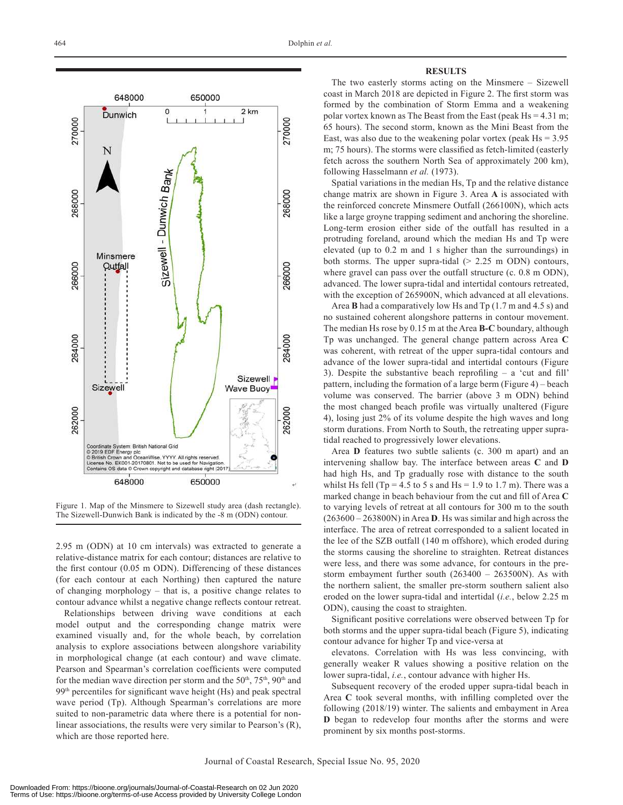

Figure 1. Map of the Minsmere to Sizewell study area (dash rectangle). The Sizewell-Dunwich Bank is indicated by the -8 m (ODN) contour.

2.95 m (ODN) at 10 cm intervals) was extracted to generate a relative-distance matrix for each contour; distances are relative to the first contour (0.05 m ODN). Differencing of these distances (for each contour at each Northing) then captured the nature of changing morphology – that is, a positive change relates to contour advance whilst a negative change reflects contour retreat.

Relationships between driving wave conditions at each model output and the corresponding change matrix were examined visually and, for the whole beach, by correlation analysis to explore associations between alongshore variability in morphological change (at each contour) and wave climate. Pearson and Spearman's correlation coefficients were computed for the median wave direction per storm and the  $50<sup>th</sup>$ ,  $75<sup>th</sup>$ ,  $90<sup>th</sup>$  and  $99<sup>th</sup>$  percentiles for significant wave height (Hs) and peak spectral wave period (Tp). Although Spearman's correlations are more suited to non-parametric data where there is a potential for nonlinear associations, the results were very similar to Pearson's (R), which are those reported here.

#### **RESULTS**

The two easterly storms acting on the Minsmere – Sizewell coast in March 2018 are depicted in Figure 2. The first storm was formed by the combination of Storm Emma and a weakening polar vortex known as The Beast from the East (peak Hs = 4.31 m; 65 hours). The second storm, known as the Mini Beast from the East, was also due to the weakening polar vortex (peak  $Hs = 3.95$ ) m; 75 hours). The storms were classified as fetch-limited (easterly fetch across the southern North Sea of approximately 200 km), following Hasselmann *et al.* (1973).

Spatial variations in the median Hs, Tp and the relative distance change matrix are shown in Figure 3. Area **A** is associated with the reinforced concrete Minsmere Outfall (266100N), which acts like a large groyne trapping sediment and anchoring the shoreline. Long-term erosion either side of the outfall has resulted in a protruding foreland, around which the median Hs and Tp were elevated (up to 0.2 m and 1 s higher than the surroundings) in both storms. The upper supra-tidal  $(> 2.25 \text{ m}$  ODN) contours, where gravel can pass over the outfall structure (c. 0.8 m ODN), advanced. The lower supra-tidal and intertidal contours retreated, with the exception of 265900N, which advanced at all elevations.

Area **B** had a comparatively low Hs and Tp (1.7 m and 4.5 s) and no sustained coherent alongshore patterns in contour movement. The median Hs rose by 0.15 m at the Area **B-C** boundary, although Tp was unchanged. The general change pattern across Area **C** was coherent, with retreat of the upper supra-tidal contours and advance of the lower supra-tidal and intertidal contours (Figure 3). Despite the substantive beach reprofiling – a 'cut and fill' pattern, including the formation of a large berm (Figure 4) – beach volume was conserved. The barrier (above 3 m ODN) behind the most changed beach profile was virtually unaltered (Figure 4), losing just 2% of its volume despite the high waves and long storm durations. From North to South, the retreating upper supratidal reached to progressively lower elevations.

Area **D** features two subtle salients (c. 300 m apart) and an intervening shallow bay. The interface between areas **C** and **D** had high Hs, and Tp gradually rose with distance to the south whilst Hs fell (Tp = 4.5 to 5 s and Hs = 1.9 to 1.7 m). There was a marked change in beach behaviour from the cut and fill of Area **C** to varying levels of retreat at all contours for 300 m to the south (263600 – 263800N) in Area **D**. Hs was similar and high across the interface. The area of retreat corresponded to a salient located in the lee of the SZB outfall (140 m offshore), which eroded during the storms causing the shoreline to straighten. Retreat distances were less, and there was some advance, for contours in the prestorm embayment further south (263400 – 263500N). As with the northern salient, the smaller pre-storm southern salient also eroded on the lower supra-tidal and intertidal (*i.e.*, below 2.25 m ODN), causing the coast to straighten.

Significant positive correlations were observed between Tp for both storms and the upper supra-tidal beach (Figure 5), indicating contour advance for higher Tp and vice-versa at

elevatons. Correlation with Hs was less convincing, with generally weaker R values showing a positive relation on the lower supra-tidal, *i.e.*, contour advance with higher Hs.

Subsequent recovery of the eroded upper supra-tidal beach in Area **C** took several months, with infilling completed over the following (2018/19) winter. The salients and embayment in Area **D** began to redevelop four months after the storms and were prominent by six months post-storms.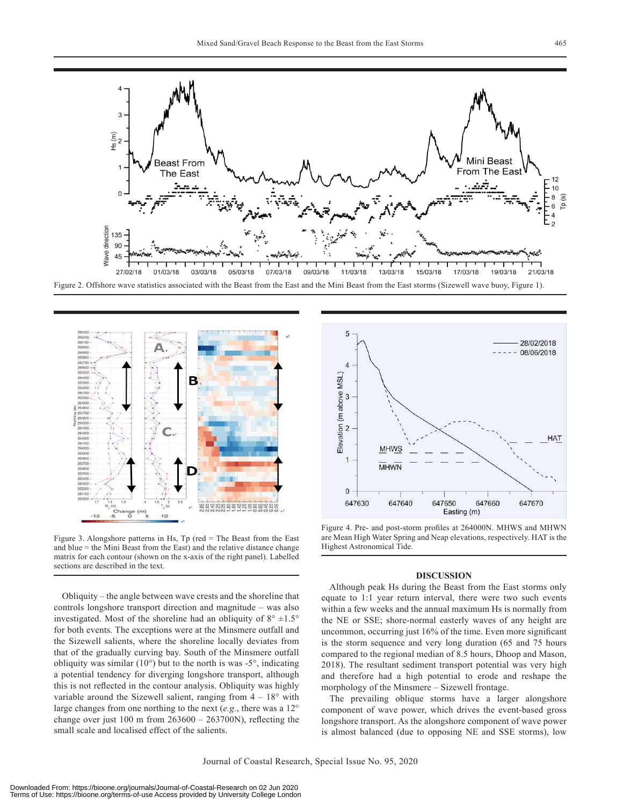



Figure 3. Alongshore patterns in Hs, Tp (red = The Beast from the East and blue = the Mini Beast from the East) and the relative distance change matrix for each contour (shown on the x-axis of the right panel). Labelled sections are described in the text.

Obliquity – the angle between wave crests and the shoreline that controls longshore transport direction and magnitude – was also investigated. Most of the shoreline had an obliquity of  $8^\circ \pm 1.5^\circ$ for both events. The exceptions were at the Minsmere outfall and the Sizewell salients, where the shoreline locally deviates from that of the gradually curving bay. South of the Minsmere outfall obliquity was similar (10°) but to the north is was -5°, indicating a potential tendency for diverging longshore transport, although this is not reflected in the contour analysis. Obliquity was highly variable around the Sizewell salient, ranging from  $4 - 18^\circ$  with large changes from one northing to the next (*e.g.*, there was a 12° change over just 100 m from  $263600 - 263700N$ , reflecting the small scale and localised effect of the salients.



Figure 4. Pre- and post-storm profiles at 264000N. MHWS and MHWN are Mean High Water Spring and Neap elevations, respectively. HAT is the Highest Astronomical Tide.

### **DISCUSSION**

Although peak Hs during the Beast from the East storms only equate to 1:1 year return interval, there were two such events within a few weeks and the annual maximum Hs is normally from the NE or SSE; shore-normal easterly waves of any height are uncommon, occurring just 16% of the time. Even more significant is the storm sequence and very long duration (65 and 75 hours compared to the regional median of 8.5 hours, Dhoop and Mason, 2018). The resultant sediment transport potential was very high and therefore had a high potential to erode and reshape the morphology of the Minsmere – Sizewell frontage.

The prevailing oblique storms have a larger alongshore component of wave power, which drives the event-based gross longshore transport. As the alongshore component of wave power is almost balanced (due to opposing NE and SSE storms), low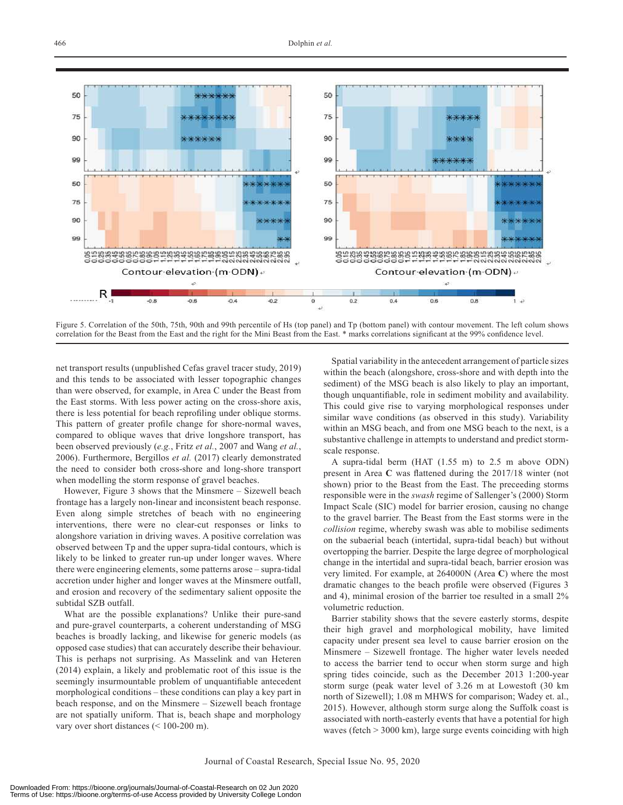

Figure 5. Correlation of the 50th, 75th, 90th and 99th percentile of Hs (top panel) and Tp (bottom panel) with contour movement. The left colum shows correlation for the Beast from the East and the right for the Mini Beast from the East. \* marks correlations significant at the 99% confidence level.

net transport results (unpublished Cefas gravel tracer study, 2019) and this tends to be associated with lesser topographic changes than were observed, for example, in Area C under the Beast from the East storms. With less power acting on the cross-shore axis, there is less potential for beach reprofiling under oblique storms. This pattern of greater profile change for shore-normal waves, compared to oblique waves that drive longshore transport, has been observed previously (*e.g.*, Fritz *et al.*, 2007 and Wang *et al.*, 2006). Furthermore, Bergillos *et al.* (2017) clearly demonstrated the need to consider both cross-shore and long-shore transport when modelling the storm response of gravel beaches.

However, Figure 3 shows that the Minsmere – Sizewell beach frontage has a largely non-linear and inconsistent beach response. Even along simple stretches of beach with no engineering interventions, there were no clear-cut responses or links to alongshore variation in driving waves. A positive correlation was observed between Tp and the upper supra-tidal contours, which is likely to be linked to greater run-up under longer waves. Where there were engineering elements, some patterns arose – supra-tidal accretion under higher and longer waves at the Minsmere outfall, and erosion and recovery of the sedimentary salient opposite the subtidal SZB outfall.

What are the possible explanations? Unlike their pure-sand and pure-gravel counterparts, a coherent understanding of MSG beaches is broadly lacking, and likewise for generic models (as opposed case studies) that can accurately describe their behaviour. This is perhaps not surprising. As Masselink and van Heteren (2014) explain, a likely and problematic root of this issue is the seemingly insurmountable problem of unquantifiable antecedent morphological conditions – these conditions can play a key part in beach response, and on the Minsmere – Sizewell beach frontage are not spatially uniform. That is, beach shape and morphology vary over short distances (< 100-200 m).

Spatial variability in the antecedent arrangement of particle sizes within the beach (alongshore, cross-shore and with depth into the sediment) of the MSG beach is also likely to play an important, though unquantifiable, role in sediment mobility and availability. This could give rise to varying morphological responses under similar wave conditions (as observed in this study). Variability within an MSG beach, and from one MSG beach to the next, is a substantive challenge in attempts to understand and predict stormscale response.

A supra-tidal berm (HAT (1.55 m) to 2.5 m above ODN) present in Area **C** was flattened during the 2017/18 winter (not shown) prior to the Beast from the East. The preceeding storms responsible were in the *swash* regime of Sallenger's (2000) Storm Impact Scale (SIC) model for barrier erosion, causing no change to the gravel barrier. The Beast from the East storms were in the *collision* regime, whereby swash was able to mobilise sediments on the subaerial beach (intertidal, supra-tidal beach) but without overtopping the barrier. Despite the large degree of morphological change in the intertidal and supra-tidal beach, barrier erosion was very limited. For example, at 264000N (Area **C**) where the most dramatic changes to the beach profile were observed (Figures 3 and 4), minimal erosion of the barrier toe resulted in a small 2% volumetric reduction.

Barrier stability shows that the severe easterly storms, despite their high gravel and morphological mobility, have limited capacity under present sea level to cause barrier erosion on the Minsmere – Sizewell frontage. The higher water levels needed to access the barrier tend to occur when storm surge and high spring tides coincide, such as the December 2013 1:200-year storm surge (peak water level of 3.26 m at Lowestoft (30 km north of Sizewell); 1.08 m MHWS for comparison; Wadey et. al., 2015). However, although storm surge along the Suffolk coast is associated with north-easterly events that have a potential for high waves (fetch > 3000 km), large surge events coinciding with high